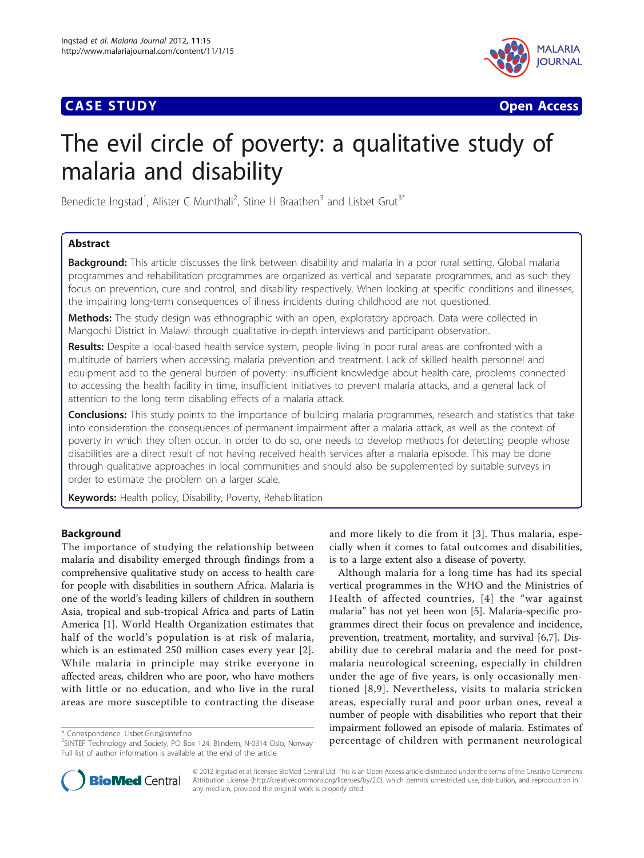# **CASE STUDY CASE STUDY Open Access**



# The evil circle of poverty: a qualitative study of malaria and disability

Benedicte Ingstad<sup>1</sup>, Alister C Munthali<sup>2</sup>, Stine H Braathen<sup>3</sup> and Lisbet Grut<sup>3\*</sup>

# Abstract

Background: This article discusses the link between disability and malaria in a poor rural setting. Global malaria programmes and rehabilitation programmes are organized as vertical and separate programmes, and as such they focus on prevention, cure and control, and disability respectively. When looking at specific conditions and illnesses, the impairing long-term consequences of illness incidents during childhood are not questioned.

Methods: The study design was ethnographic with an open, exploratory approach. Data were collected in Mangochi District in Malawi through qualitative in-depth interviews and participant observation.

Results: Despite a local-based health service system, people living in poor rural areas are confronted with a multitude of barriers when accessing malaria prevention and treatment. Lack of skilled health personnel and equipment add to the general burden of poverty: insufficient knowledge about health care, problems connected to accessing the health facility in time, insufficient initiatives to prevent malaria attacks, and a general lack of attention to the long term disabling effects of a malaria attack.

Conclusions: This study points to the importance of building malaria programmes, research and statistics that take into consideration the consequences of permanent impairment after a malaria attack, as well as the context of poverty in which they often occur. In order to do so, one needs to develop methods for detecting people whose disabilities are a direct result of not having received health services after a malaria episode. This may be done through qualitative approaches in local communities and should also be supplemented by suitable surveys in order to estimate the problem on a larger scale.

Keywords: Health policy, Disability, Poverty, Rehabilitation

# Background

The importance of studying the relationship between malaria and disability emerged through findings from a comprehensive qualitative study on access to health care for people with disabilities in southern Africa. Malaria is one of the world's leading killers of children in southern Asia, tropical and sub-tropical Africa and parts of Latin America [[1\]](#page-4-0). World Health Organization estimates that half of the world's population is at risk of malaria, which is an estimated 250 million cases every year [[2](#page-4-0)]. While malaria in principle may strike everyone in affected areas, children who are poor, who have mothers with little or no education, and who live in the rural areas are more susceptible to contracting the disease

and more likely to die from it [\[3](#page-4-0)]. Thus malaria, especially when it comes to fatal outcomes and disabilities, is to a large extent also a disease of poverty.

Although malaria for a long time has had its special vertical programmes in the WHO and the Ministries of Health of affected countries, [[4\]](#page-4-0) the "war against malaria" has not yet been won [\[5](#page-4-0)]. Malaria-specific programmes direct their focus on prevalence and incidence, prevention, treatment, mortality, and survival [\[6](#page-4-0),[7\]](#page-4-0). Disability due to cerebral malaria and the need for postmalaria neurological screening, especially in children under the age of five years, is only occasionally mentioned [\[8,9\]](#page-4-0). Nevertheless, visits to malaria stricken areas, especially rural and poor urban ones, reveal a number of people with disabilities who report that their impairment followed an episode of malaria. Estimates of ercentage of children with permanent of correspondence: [Lisbet.Grut@sintef.no](mailto:Lisbet.Grut@sintef.no)<br><sup>3</sup>SINTFE Technology and Society PO Box 124 Blindern N-0314 Oslo Norway **percentage of children with permanent neurological** 



© 2012 Ingstad et al; licensee BioMed Central Ltd. This is an Open Access article distributed under the terms of the Creative Commons Attribution License [\(http://creativecommons.org/licenses/by/2.0](http://creativecommons.org/licenses/by/2.0)), which permits unrestricted use, distribution, and reproduction in any medium, provided the original work is properly cited.

<sup>&</sup>lt;sup>3</sup>SINTEF Technology and Society, PO Box 124, Blindern, N-0314 Oslo, Norway Full list of author information is available at the end of the article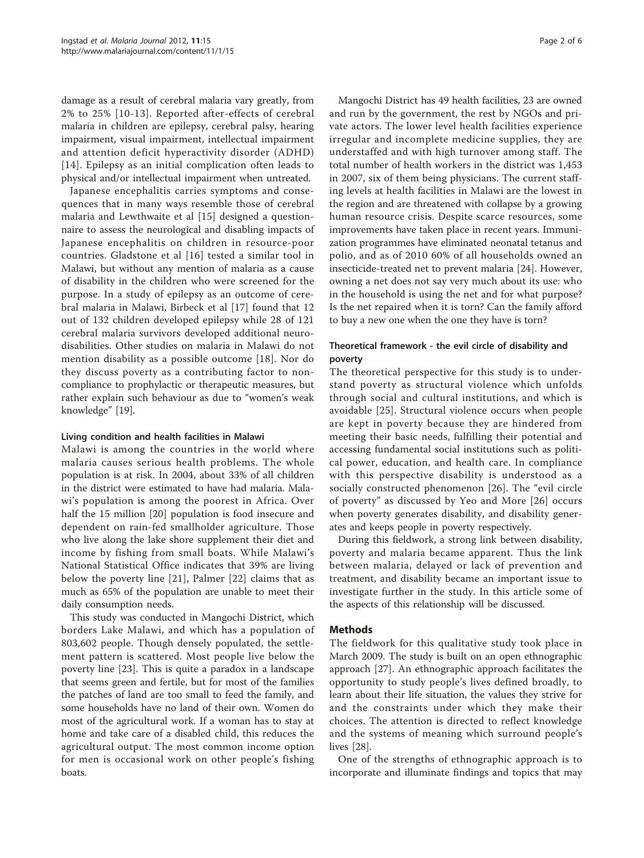damage as a result of cerebral malaria vary greatly, from 2% to 25% [[10](#page-4-0)-[13\]](#page-4-0). Reported after-effects of cerebral malaria in children are epilepsy, cerebral palsy, hearing impairment, visual impairment, intellectual impairment and attention deficit hyperactivity disorder (ADHD) [[14](#page-4-0)]. Epilepsy as an initial complication often leads to physical and/or intellectual impairment when untreated.

Japanese encephalitis carries symptoms and consequences that in many ways resemble those of cerebral malaria and Lewthwaite et al [\[15](#page-4-0)] designed a questionnaire to assess the neurological and disabling impacts of Japanese encephalitis on children in resource-poor countries. Gladstone et al [[16](#page-4-0)] tested a similar tool in Malawi, but without any mention of malaria as a cause of disability in the children who were screened for the purpose. In a study of epilepsy as an outcome of cerebral malaria in Malawi, Birbeck et al [[17\]](#page-4-0) found that 12 out of 132 children developed epilepsy while 28 of 121 cerebral malaria survivors developed additional neurodisabilities. Other studies on malaria in Malawi do not mention disability as a possible outcome [[18](#page-4-0)]. Nor do they discuss poverty as a contributing factor to noncompliance to prophylactic or therapeutic measures, but rather explain such behaviour as due to "women's weak knowledge" [[19\]](#page-4-0).

# Living condition and health facilities in Malawi

Malawi is among the countries in the world where malaria causes serious health problems. The whole population is at risk. In 2004, about 33% of all children in the district were estimated to have had malaria. Malawi's population is among the poorest in Africa. Over half the 15 million [\[20](#page-5-0)] population is food insecure and dependent on rain-fed smallholder agriculture. Those who live along the lake shore supplement their diet and income by fishing from small boats. While Malawi's National Statistical Office indicates that 39% are living below the poverty line [[21](#page-5-0)], Palmer [[22\]](#page-5-0) claims that as much as 65% of the population are unable to meet their daily consumption needs.

This study was conducted in Mangochi District, which borders Lake Malawi, and which has a population of 803,602 people. Though densely populated, the settlement pattern is scattered. Most people live below the poverty line [[23](#page-5-0)]. This is quite a paradox in a landscape that seems green and fertile, but for most of the families the patches of land are too small to feed the family, and some households have no land of their own. Women do most of the agricultural work. If a woman has to stay at home and take care of a disabled child, this reduces the agricultural output. The most common income option for men is occasional work on other people's fishing boats.

Mangochi District has 49 health facilities, 23 are owned and run by the government, the rest by NGOs and private actors. The lower level health facilities experience irregular and incomplete medicine supplies, they are understaffed and with high turnover among staff. The total number of health workers in the district was 1,453 in 2007, six of them being physicians. The current staffing levels at health facilities in Malawi are the lowest in the region and are threatened with collapse by a growing human resource crisis. Despite scarce resources, some improvements have taken place in recent years. Immunization programmes have eliminated neonatal tetanus and polio, and as of 2010 60% of all households owned an insecticide-treated net to prevent malaria [\[24](#page-5-0)]. However, owning a net does not say very much about its use: who in the household is using the net and for what purpose? Is the net repaired when it is torn? Can the family afford to buy a new one when the one they have is torn?

# Theoretical framework - the evil circle of disability and poverty

The theoretical perspective for this study is to understand poverty as structural violence which unfolds through social and cultural institutions, and which is avoidable [[25](#page-5-0)]. Structural violence occurs when people are kept in poverty because they are hindered from meeting their basic needs, fulfilling their potential and accessing fundamental social institutions such as political power, education, and health care. In compliance with this perspective disability is understood as a socially constructed phenomenon [[26\]](#page-5-0). The "evil circle of poverty" as discussed by Yeo and More [[26](#page-5-0)] occurs when poverty generates disability, and disability generates and keeps people in poverty respectively.

During this fieldwork, a strong link between disability, poverty and malaria became apparent. Thus the link between malaria, delayed or lack of prevention and treatment, and disability became an important issue to investigate further in the study. In this article some of the aspects of this relationship will be discussed.

# Methods

The fieldwork for this qualitative study took place in March 2009. The study is built on an open ethnographic approach [[27](#page-5-0)]. An ethnographic approach facilitates the opportunity to study people's lives defined broadly, to learn about their life situation, the values they strive for and the constraints under which they make their choices. The attention is directed to reflect knowledge and the systems of meaning which surround people's lives [[28\]](#page-5-0).

One of the strengths of ethnographic approach is to incorporate and illuminate findings and topics that may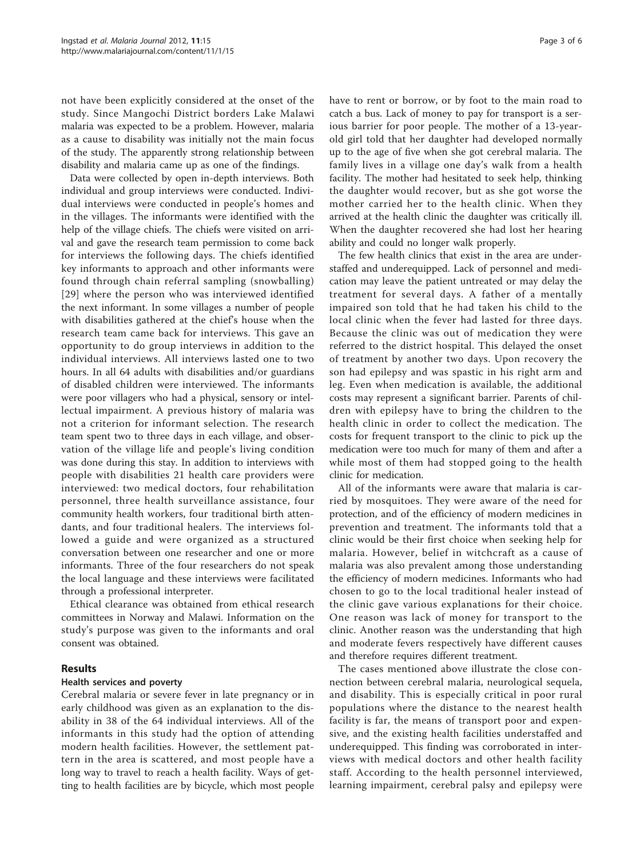not have been explicitly considered at the onset of the study. Since Mangochi District borders Lake Malawi malaria was expected to be a problem. However, malaria as a cause to disability was initially not the main focus of the study. The apparently strong relationship between disability and malaria came up as one of the findings.

Data were collected by open in-depth interviews. Both individual and group interviews were conducted. Individual interviews were conducted in people's homes and in the villages. The informants were identified with the help of the village chiefs. The chiefs were visited on arrival and gave the research team permission to come back for interviews the following days. The chiefs identified key informants to approach and other informants were found through chain referral sampling (snowballing) [[29](#page-5-0)] where the person who was interviewed identified the next informant. In some villages a number of people with disabilities gathered at the chief's house when the research team came back for interviews. This gave an opportunity to do group interviews in addition to the individual interviews. All interviews lasted one to two hours. In all 64 adults with disabilities and/or guardians of disabled children were interviewed. The informants were poor villagers who had a physical, sensory or intellectual impairment. A previous history of malaria was not a criterion for informant selection. The research team spent two to three days in each village, and observation of the village life and people's living condition was done during this stay. In addition to interviews with people with disabilities 21 health care providers were interviewed: two medical doctors, four rehabilitation personnel, three health surveillance assistance, four community health workers, four traditional birth attendants, and four traditional healers. The interviews followed a guide and were organized as a structured conversation between one researcher and one or more informants. Three of the four researchers do not speak the local language and these interviews were facilitated through a professional interpreter.

Ethical clearance was obtained from ethical research committees in Norway and Malawi. Information on the study's purpose was given to the informants and oral consent was obtained.

# Results

# Health services and poverty

Cerebral malaria or severe fever in late pregnancy or in early childhood was given as an explanation to the disability in 38 of the 64 individual interviews. All of the informants in this study had the option of attending modern health facilities. However, the settlement pattern in the area is scattered, and most people have a long way to travel to reach a health facility. Ways of getting to health facilities are by bicycle, which most people have to rent or borrow, or by foot to the main road to catch a bus. Lack of money to pay for transport is a serious barrier for poor people. The mother of a 13-yearold girl told that her daughter had developed normally up to the age of five when she got cerebral malaria. The family lives in a village one day's walk from a health facility. The mother had hesitated to seek help, thinking the daughter would recover, but as she got worse the mother carried her to the health clinic. When they arrived at the health clinic the daughter was critically ill. When the daughter recovered she had lost her hearing ability and could no longer walk properly.

The few health clinics that exist in the area are understaffed and underequipped. Lack of personnel and medication may leave the patient untreated or may delay the treatment for several days. A father of a mentally impaired son told that he had taken his child to the local clinic when the fever had lasted for three days. Because the clinic was out of medication they were referred to the district hospital. This delayed the onset of treatment by another two days. Upon recovery the son had epilepsy and was spastic in his right arm and leg. Even when medication is available, the additional costs may represent a significant barrier. Parents of children with epilepsy have to bring the children to the health clinic in order to collect the medication. The costs for frequent transport to the clinic to pick up the medication were too much for many of them and after a while most of them had stopped going to the health clinic for medication.

All of the informants were aware that malaria is carried by mosquitoes. They were aware of the need for protection, and of the efficiency of modern medicines in prevention and treatment. The informants told that a clinic would be their first choice when seeking help for malaria. However, belief in witchcraft as a cause of malaria was also prevalent among those understanding the efficiency of modern medicines. Informants who had chosen to go to the local traditional healer instead of the clinic gave various explanations for their choice. One reason was lack of money for transport to the clinic. Another reason was the understanding that high and moderate fevers respectively have different causes and therefore requires different treatment.

The cases mentioned above illustrate the close connection between cerebral malaria, neurological sequela, and disability. This is especially critical in poor rural populations where the distance to the nearest health facility is far, the means of transport poor and expensive, and the existing health facilities understaffed and underequipped. This finding was corroborated in interviews with medical doctors and other health facility staff. According to the health personnel interviewed, learning impairment, cerebral palsy and epilepsy were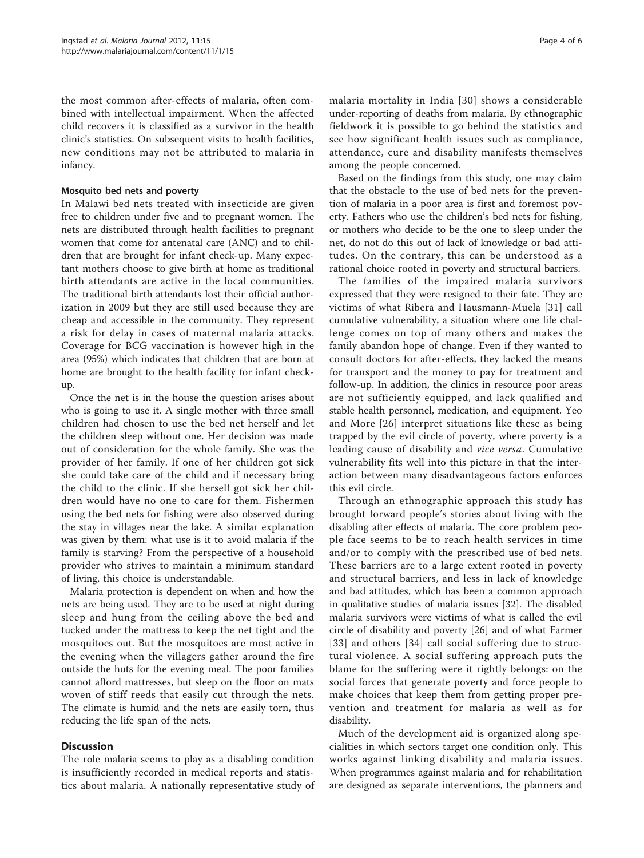the most common after-effects of malaria, often combined with intellectual impairment. When the affected child recovers it is classified as a survivor in the health clinic's statistics. On subsequent visits to health facilities, new conditions may not be attributed to malaria in infancy.

#### Mosquito bed nets and poverty

In Malawi bed nets treated with insecticide are given free to children under five and to pregnant women. The nets are distributed through health facilities to pregnant women that come for antenatal care (ANC) and to children that are brought for infant check-up. Many expectant mothers choose to give birth at home as traditional birth attendants are active in the local communities. The traditional birth attendants lost their official authorization in 2009 but they are still used because they are cheap and accessible in the community. They represent a risk for delay in cases of maternal malaria attacks. Coverage for BCG vaccination is however high in the area (95%) which indicates that children that are born at home are brought to the health facility for infant checkup.

Once the net is in the house the question arises about who is going to use it. A single mother with three small children had chosen to use the bed net herself and let the children sleep without one. Her decision was made out of consideration for the whole family. She was the provider of her family. If one of her children got sick she could take care of the child and if necessary bring the child to the clinic. If she herself got sick her children would have no one to care for them. Fishermen using the bed nets for fishing were also observed during the stay in villages near the lake. A similar explanation was given by them: what use is it to avoid malaria if the family is starving? From the perspective of a household provider who strives to maintain a minimum standard of living, this choice is understandable.

Malaria protection is dependent on when and how the nets are being used. They are to be used at night during sleep and hung from the ceiling above the bed and tucked under the mattress to keep the net tight and the mosquitoes out. But the mosquitoes are most active in the evening when the villagers gather around the fire outside the huts for the evening meal. The poor families cannot afford mattresses, but sleep on the floor on mats woven of stiff reeds that easily cut through the nets. The climate is humid and the nets are easily torn, thus reducing the life span of the nets.

### **Discussion**

The role malaria seems to play as a disabling condition is insufficiently recorded in medical reports and statistics about malaria. A nationally representative study of

malaria mortality in India [[30\]](#page-5-0) shows a considerable under-reporting of deaths from malaria. By ethnographic fieldwork it is possible to go behind the statistics and see how significant health issues such as compliance, attendance, cure and disability manifests themselves among the people concerned.

Based on the findings from this study, one may claim that the obstacle to the use of bed nets for the prevention of malaria in a poor area is first and foremost poverty. Fathers who use the children's bed nets for fishing, or mothers who decide to be the one to sleep under the net, do not do this out of lack of knowledge or bad attitudes. On the contrary, this can be understood as a rational choice rooted in poverty and structural barriers.

The families of the impaired malaria survivors expressed that they were resigned to their fate. They are victims of what Ribera and Hausmann-Muela [[31](#page-5-0)] call cumulative vulnerability, a situation where one life challenge comes on top of many others and makes the family abandon hope of change. Even if they wanted to consult doctors for after-effects, they lacked the means for transport and the money to pay for treatment and follow-up. In addition, the clinics in resource poor areas are not sufficiently equipped, and lack qualified and stable health personnel, medication, and equipment. Yeo and More [[26\]](#page-5-0) interpret situations like these as being trapped by the evil circle of poverty, where poverty is a leading cause of disability and vice versa. Cumulative vulnerability fits well into this picture in that the interaction between many disadvantageous factors enforces this evil circle.

Through an ethnographic approach this study has brought forward people's stories about living with the disabling after effects of malaria. The core problem people face seems to be to reach health services in time and/or to comply with the prescribed use of bed nets. These barriers are to a large extent rooted in poverty and structural barriers, and less in lack of knowledge and bad attitudes, which has been a common approach in qualitative studies of malaria issues [[32](#page-5-0)]. The disabled malaria survivors were victims of what is called the evil circle of disability and poverty [[26\]](#page-5-0) and of what Farmer [[33](#page-5-0)] and others [[34](#page-5-0)] call social suffering due to structural violence. A social suffering approach puts the blame for the suffering were it rightly belongs: on the social forces that generate poverty and force people to make choices that keep them from getting proper prevention and treatment for malaria as well as for disability.

Much of the development aid is organized along specialities in which sectors target one condition only. This works against linking disability and malaria issues. When programmes against malaria and for rehabilitation are designed as separate interventions, the planners and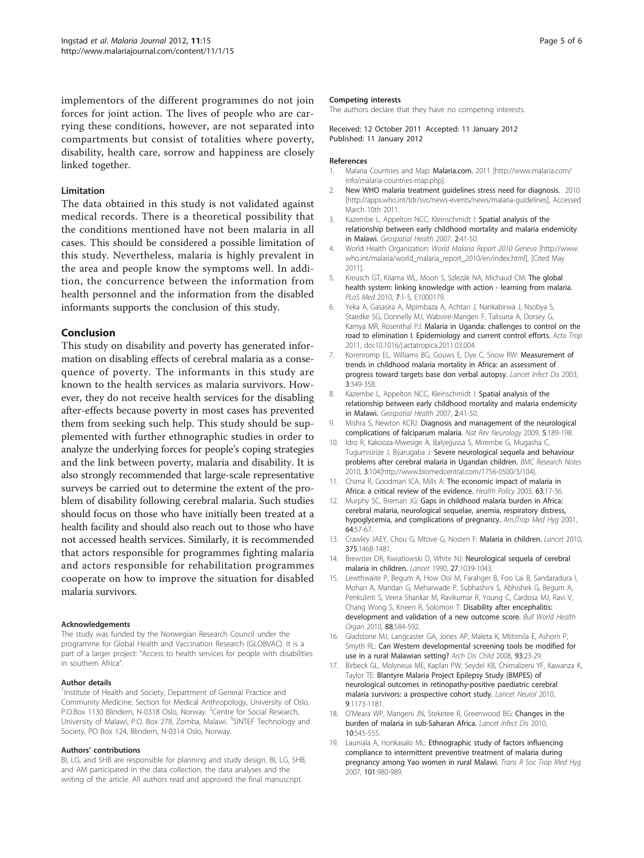<span id="page-4-0"></span>implementors of the different programmes do not join forces for joint action. The lives of people who are carrying these conditions, however, are not separated into compartments but consist of totalities where poverty, disability, health care, sorrow and happiness are closely linked together.

#### Limitation

The data obtained in this study is not validated against medical records. There is a theoretical possibility that the conditions mentioned have not been malaria in all cases. This should be considered a possible limitation of this study. Nevertheless, malaria is highly prevalent in the area and people know the symptoms well. In addition, the concurrence between the information from health personnel and the information from the disabled informants supports the conclusion of this study.

#### Conclusion

This study on disability and poverty has generated information on disabling effects of cerebral malaria as a consequence of poverty. The informants in this study are known to the health services as malaria survivors. However, they do not receive health services for the disabling after-effects because poverty in most cases has prevented them from seeking such help. This study should be supplemented with further ethnographic studies in order to analyze the underlying forces for people's coping strategies and the link between poverty, malaria and disability. It is also strongly recommended that large-scale representative surveys be carried out to determine the extent of the problem of disability following cerebral malaria. Such studies should focus on those who have initially been treated at a health facility and should also reach out to those who have not accessed health services. Similarly, it is recommended that actors responsible for programmes fighting malaria and actors responsible for rehabilitation programmes cooperate on how to improve the situation for disabled malaria survivors.

#### Acknowledgements

The study was funded by the Norwegian Research Council under the programme for Global Health and Vaccination Research (GLOBVAC). It is a part of a larger project: "Access to health services for people with disabilities in southern Africa".

#### Author details

<sup>1</sup>Institute of Health and Society, Department of General Practice and Community Medicine, Section for Medical Anthropology, University of Oslo, P.O.Box 1130 Blindern, N-0318 Oslo, Norway. <sup>2</sup>Centre for Social Research, University of Malawi, P.O. Box 278, Zomba, Malawi. <sup>3</sup>SINTEF Technology and Society, PO Box 124, Blindern, N-0314 Oslo, Norway.

#### Authors' contributions

BI, LG, and SHB are responsible for planning and study design. BI, LG, SHB, and AM participated in the data collection, the data analyses and the writing of the article. All authors read and approved the final manuscript.

#### Page 5 of 6

#### Competing interests

The authors declare that they have no competing interests.

Received: 12 October 2011 Accepted: 11 January 2012 Published: 11 January 2012

#### References

- 1. Malaria Countries and Map: Malaria.com. 2011 [[http://www.malaria.com/](http://www.malaria.com/info/malaria-countries-map.php) info/malaria-countries-map.phpl
- 2. New WHO malaria treatment guidelines stress need for diagnosis. 2010 [[http://apps.who.int/tdr/svc/news-events/news/malaria-guidelines\]](http://apps.who.int/tdr/svc/news-events/news/malaria-guidelines), Accessed March 10th 2011.
- 3. Kazembe L, Appelton NCC, Kleinschmidt I: [Spatial analysis of the](http://www.ncbi.nlm.nih.gov/pubmed/18686254?dopt=Abstract) [relationship between early childhood mortality and malaria endemicity](http://www.ncbi.nlm.nih.gov/pubmed/18686254?dopt=Abstract) [in Malawi.](http://www.ncbi.nlm.nih.gov/pubmed/18686254?dopt=Abstract) Geospatial Health 2007, 2:41-50.
- 4. World Health Organization: World Malaria Report 2010 Geneva [[http://www.](http://www.who.int/malaria/world_malaria_report_2010/en/index.html) [who.int/malaria/world\\_malaria\\_report\\_2010/en/index.html](http://www.who.int/malaria/world_malaria_report_2010/en/index.html)], [Cited May 2011].
- 5. Kreusch GT, Kilama WL, Moon S, Szlezák NA, Michaud CM: The global health system: linking knowledge with action - learning from malaria. PLoS Med 2010, 7:1-5, E1000179.
- 6. Yeka A, Gasasira A, Mpimbaza A, Achtan J, Nankabirwa J, Nsobya S, Staedke SG, Donnelly MJ, Wabvire-Mangen F, Talisuna A, Dorsey G, Kamya MR, Rosenthal PJ: Malaria in Uganda: challenges to control on the road to elimination I. Epidemiology and current control efforts. Acta Trop 2011, doi:10.1016/j.actatropica.2011.03.004.
- 7. Korenromp EL, Williams BG, Gouws E, Dye C, Snow RW: [Measurement of](http://www.ncbi.nlm.nih.gov/pubmed/12781507?dopt=Abstract) [trends in childhood malaria mortality in Africa: an assessment of](http://www.ncbi.nlm.nih.gov/pubmed/12781507?dopt=Abstract) [progress toward targets base don verbal autopsy.](http://www.ncbi.nlm.nih.gov/pubmed/12781507?dopt=Abstract) Lancet Infect Dis 2003, 3:349-358.
- 8. Kazembe L, Appelton NCC, Kleinschmidt I: [Spatial analysis of the](http://www.ncbi.nlm.nih.gov/pubmed/18686254?dopt=Abstract) [relationship between early childhood mortality and malaria endemicity](http://www.ncbi.nlm.nih.gov/pubmed/18686254?dopt=Abstract) [in Malawi.](http://www.ncbi.nlm.nih.gov/pubmed/18686254?dopt=Abstract) Geospatial Health 2007, 2:41-50.
- 9. Mishra S, Newton KCRJ: Diagnosis and management of the neurological complications of falciparum malaria. Nat Rev Neurology 2009, 5:189-198.
- 10. Idro R, Kakooza-Mwesige A, Balyejjussa S, Mirembe G, Mugasha C, Tugumisirize J, Byarugaba J: [Severe neurological sequela and behaviour](http://www.ncbi.nlm.nih.gov/pubmed/20398391?dopt=Abstract) [problems after cerebral malaria in Ugandan children.](http://www.ncbi.nlm.nih.gov/pubmed/20398391?dopt=Abstract) BMC Research Notes 2010, 3:104[<http://www.biomedcentral.com/1756-0500/3/104>].
- 11. Chima R, Goodman ICA, Mills A: [The economic impact of malaria in](http://www.ncbi.nlm.nih.gov/pubmed/12468115?dopt=Abstract) [Africa: a critical review of the evidence.](http://www.ncbi.nlm.nih.gov/pubmed/12468115?dopt=Abstract) Health Policy 2003, 63:17-36.
- 12. Murphy SC, Breman JG: Gaps in childhood malaria burden in Africa: cerebral malaria, neurological sequelae, anemia, respiratory distress, hypoglycemia, and complications of pregnancy. AmJTrop Med Hyg 2001, 64:57-67.
- 13. Crawley JAEY, Chou G, Mtove G, Nosten F: [Malaria in children.](http://www.ncbi.nlm.nih.gov/pubmed/20417858?dopt=Abstract) Lancet 2010, 375:1468-1481.
- 14. Brewster DR, Kwiatlowski D, White NJ: Neurological sequela of cerebral malaria in children. Lancet 1990, 27:1039-1043.
- 15. Lewthwaite P, Begum A, How Ooi M, Farahger B, Foo Lai B, Sandaradura I, Mohan A, Mandan G, Meharwade P, Subhashini S, Abhishek G, Begum A, Penkulinti S, Veera Shankar M, Ravikumar R, Young C, Cardosa MJ, Ravi V, Chang Wong S, Kneen R, Solomon T: [Disability after encephalitis:](http://www.ncbi.nlm.nih.gov/pubmed/20680123?dopt=Abstract) [development and validation of a new outcome score.](http://www.ncbi.nlm.nih.gov/pubmed/20680123?dopt=Abstract) Bull World Health Organ 2010, 88:584-592.
- 16. Gladstone MJ, Langcaster GA, Jones AP, Maleta K, Mtitimila E, Ashorn P, Smyth RL: [Can Western developmental screening tools be modified for](http://www.ncbi.nlm.nih.gov/pubmed/17379661?dopt=Abstract) [use in a rural Malawian setting?](http://www.ncbi.nlm.nih.gov/pubmed/17379661?dopt=Abstract) Arch Dis Child 2008, 93:23-29.
- 17. Birbeck GL, Molyneux ME, Kaplan PW, Seydel KB, Chimalizeni YF, Kawanza K, Taylor TE: [Blantyre Malaria Project Epilepsy Study \(BMPES\) of](http://www.ncbi.nlm.nih.gov/pubmed/21056005?dopt=Abstract) [neurological outcomes in retinopathy-positive paediatric cerebral](http://www.ncbi.nlm.nih.gov/pubmed/21056005?dopt=Abstract) [malaria survivors: a prospective cohort study.](http://www.ncbi.nlm.nih.gov/pubmed/21056005?dopt=Abstract) Lancet Neurol 2010, 9:1173-1181.
- 18. O'Meara WP, Mangeni JN, Steketee R, Greenwood BG: [Changes in the](http://www.ncbi.nlm.nih.gov/pubmed/20637696?dopt=Abstract) [burden of malaria in sub-Saharan Africa.](http://www.ncbi.nlm.nih.gov/pubmed/20637696?dopt=Abstract) Lancet Infect Dis 2010, 10:545-555.
- 19. Launiala A, Honkasalo ML: [Ethnographic study of factors influencing](http://www.ncbi.nlm.nih.gov/pubmed/17658564?dopt=Abstract) [compliance to intermittent preventive treatment of malaria during](http://www.ncbi.nlm.nih.gov/pubmed/17658564?dopt=Abstract) [pregnancy among Yao women in rural Malawi.](http://www.ncbi.nlm.nih.gov/pubmed/17658564?dopt=Abstract) Trans R Soc Trop Med Hyg 2007, 101:980-989.